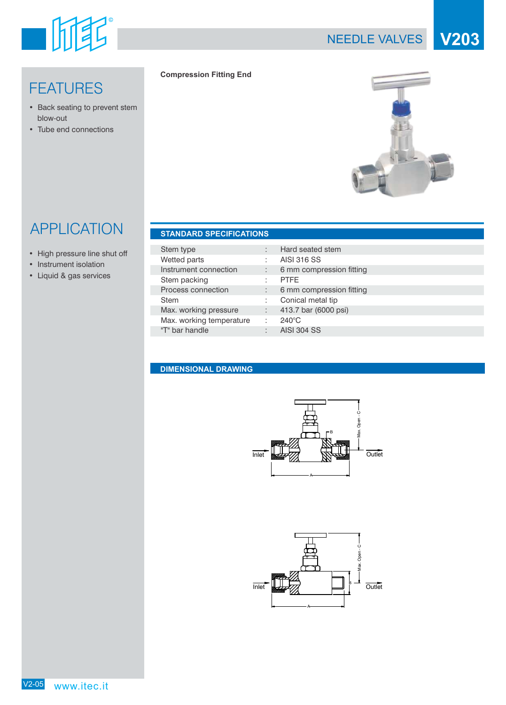

# **FEATURES**

- Back seating to prevent stem blow-out
- Tube end connections

#### **Compression Fitting End**



# APPLICATION

- High pressure line shut off
- Instrument isolation
- Liquid & gas services

|  | <b>STANDARD SPECIFICATIONS</b> |  |
|--|--------------------------------|--|
|  |                                |  |

| Stem type                |   | Hard seated stem         |
|--------------------------|---|--------------------------|
| Wetted parts             |   | AISI 316 SS              |
| Instrument connection    |   | 6 mm compression fitting |
| Stem packing             |   | <b>PTFE</b>              |
| Process connection       |   | 6 mm compression fitting |
| <b>Stem</b>              |   | Conical metal tip        |
| Max. working pressure    | ÷ | 413.7 bar (6000 psi)     |
| Max. working temperature |   | 240°C                    |
| "T" bar handle           |   | <b>AISI 304 SS</b>       |
|                          |   |                          |

#### **DIMENSIONAL DRAWING**